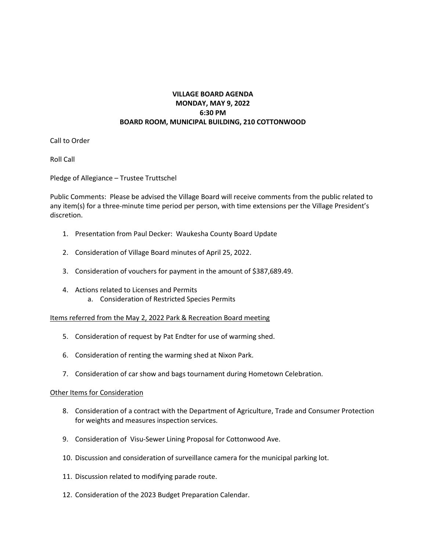## **VILLAGE BOARD AGENDA MONDAY, MAY 9, 2022 6:30 PM BOARD ROOM, MUNICIPAL BUILDING, 210 COTTONWOOD**

Call to Order

Roll Call

Pledge of Allegiance – Trustee Truttschel

Public Comments: Please be advised the Village Board will receive comments from the public related to any item(s) for a three-minute time period per person, with time extensions per the Village President's discretion.

- 1. Presentation from Paul Decker: Waukesha County Board Update
- 2. Consideration of Village Board minutes of April 25, 2022.
- 3. Consideration of vouchers for payment in the amount of \$387,689.49.
- 4. Actions related to Licenses and Permits a. Consideration of Restricted Species Permits

Items referred from the May 2, 2022 Park & Recreation Board meeting

- 5. Consideration of request by Pat Endter for use of warming shed.
- 6. Consideration of renting the warming shed at Nixon Park.
- 7. Consideration of car show and bags tournament during Hometown Celebration.

## Other Items for Consideration

- 8. Consideration of a contract with the Department of Agriculture, Trade and Consumer Protection for weights and measures inspection services.
- 9. Consideration of Visu-Sewer Lining Proposal for Cottonwood Ave.
- 10. Discussion and consideration of surveillance camera for the municipal parking lot.
- 11. Discussion related to modifying parade route.
- 12. Consideration of the 2023 Budget Preparation Calendar.